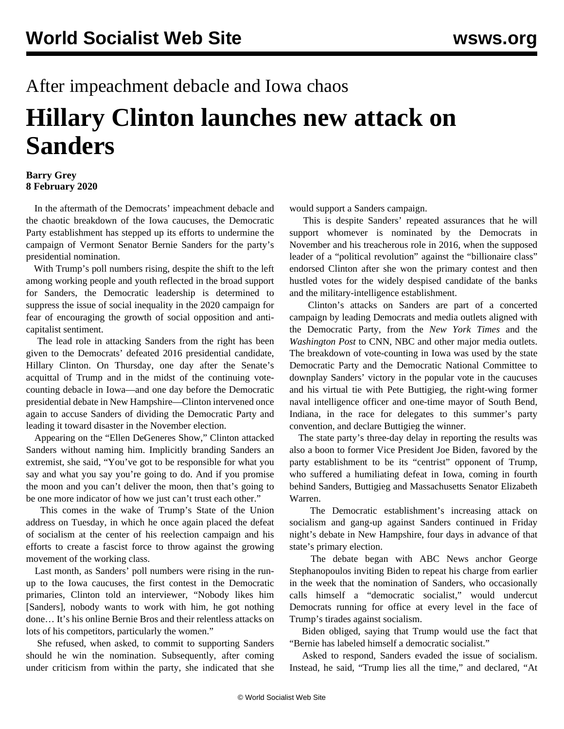## After impeachment debacle and Iowa chaos **Hillary Clinton launches new attack on Sanders**

## **Barry Grey 8 February 2020**

 In the aftermath of the Democrats' impeachment debacle and the chaotic breakdown of the Iowa caucuses, the Democratic Party establishment has stepped up its efforts to undermine the campaign of Vermont Senator Bernie Sanders for the party's presidential nomination.

 With Trump's poll numbers rising, despite the shift to the left among working people and youth reflected in the broad support for Sanders, the Democratic leadership is determined to suppress the issue of social inequality in the 2020 campaign for fear of encouraging the growth of social opposition and anticapitalist sentiment.

 The lead role in attacking Sanders from the right has been given to the Democrats' defeated 2016 presidential candidate, Hillary Clinton. On Thursday, one day after the Senate's acquittal of Trump and in the midst of the continuing votecounting debacle in Iowa—and one day before the Democratic presidential debate in New Hampshire—Clinton intervened once again to accuse Sanders of dividing the Democratic Party and leading it toward disaster in the November election.

 Appearing on the "Ellen DeGeneres Show," Clinton attacked Sanders without naming him. Implicitly branding Sanders an extremist, she said, "You've got to be responsible for what you say and what you say you're going to do. And if you promise the moon and you can't deliver the moon, then that's going to be one more indicator of how we just can't trust each other."

 This comes in the wake of Trump's State of the Union address on Tuesday, in which he once again placed the defeat of socialism at the center of his reelection campaign and his efforts to create a fascist force to throw against the growing movement of the working class.

 Last month, as Sanders' poll numbers were rising in the runup to the Iowa caucuses, the first contest in the Democratic primaries, Clinton told an interviewer, "Nobody likes him [Sanders], nobody wants to work with him, he got nothing done… It's his online Bernie Bros and their relentless attacks on lots of his competitors, particularly the women."

 She refused, when asked, to commit to supporting Sanders should he win the nomination. Subsequently, after coming under criticism from within the party, she indicated that she would support a Sanders campaign.

 This is despite Sanders' repeated assurances that he will support whomever is nominated by the Democrats in November and his treacherous role in 2016, when the supposed leader of a "political revolution" against the "billionaire class" endorsed Clinton after she won the primary contest and then hustled votes for the widely despised candidate of the banks and the military-intelligence establishment.

 Clinton's attacks on Sanders are part of a concerted campaign by leading Democrats and media outlets aligned with the Democratic Party, from the *New York Times* and the *Washington Post* to CNN, NBC and other major media outlets. The breakdown of vote-counting in Iowa was used by the state Democratic Party and the Democratic National Committee to downplay Sanders' victory in the popular vote in the caucuses and his virtual tie with Pete Buttigieg, the right-wing former naval intelligence officer and one-time mayor of South Bend, Indiana, in the race for delegates to this summer's party convention, and declare Buttigieg the winner.

 The state party's three-day delay in reporting the results was also a boon to former Vice President Joe Biden, favored by the party establishment to be its "centrist" opponent of Trump, who suffered a humiliating defeat in Iowa, coming in fourth behind Sanders, Buttigieg and Massachusetts Senator Elizabeth Warren.

 The Democratic establishment's increasing attack on socialism and gang-up against Sanders continued in Friday night's debate in New Hampshire, four days in advance of that state's primary election.

 The debate began with ABC News anchor George Stephanopoulos inviting Biden to repeat his charge from earlier in the week that the nomination of Sanders, who occasionally calls himself a "democratic socialist," would undercut Democrats running for office at every level in the face of Trump's tirades against socialism.

 Biden obliged, saying that Trump would use the fact that "Bernie has labeled himself a democratic socialist."

 Asked to respond, Sanders evaded the issue of socialism. Instead, he said, "Trump lies all the time," and declared, "At